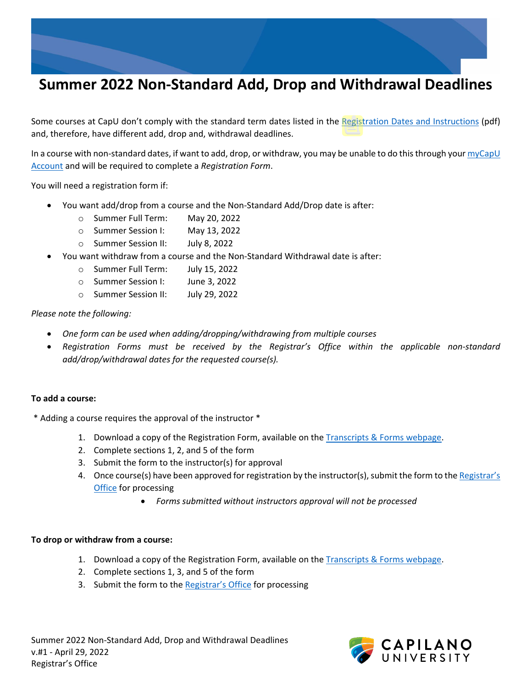

## **Summer 2022 Non-Standard Add, Drop and Withdrawal Deadlines**

Some courses at CapU don't comply with the standard term dates listed in the [Registration Dates and Instructions](https://www.capilanou.ca/media/capilanouca/admissions/course-registration/registration-dates/Summer-2022-Registration-Dates-and-Instructions.pdf) (pdf) and, therefore, have different add, drop and, withdrawal deadlines.

In a course with non-standard dates, if want to add, drop, or withdraw, you may be unable to do this through you[r myCapU](https://ssb.capilanou.ca/prod/twbkwbis.P_WWWLogin)  [Account](https://ssb.capilanou.ca/prod/twbkwbis.P_WWWLogin) and will be required to complete a *Registration Form*.

You will need a registration form if:

- You want add/drop from a course and the Non-Standard Add/Drop date is after:
	- o Summer Full Term: May 20, 2022
	- o Summer Session I: May 13, 2022
	- o Summer Session II: July 8, 2022
- You want withdraw from a course and the Non-Standard Withdrawal date is after:
	- o Summer Full Term: July 15, 2022
	- o Summer Session I: June 3, 2022
	- o Summer Session II: July 29, 2022

*Please note the following:* 

- *One form can be used when adding/dropping/withdrawing from multiple courses*
- *Registration Forms must be received by the Registrar's Office within the applicable non-standard add/drop/withdrawal dates for the requested course(s).*

## **To add a course:**

\* Adding a course requires the approval of the instructor \*

- 1. Download a copy of the Registration Form, available on the Transcripts [& Forms webpage.](https://www.capilanou.ca/admissions/course-registration/registrars-office/transcripts--forms/)
- 2. Complete sections 1, 2, and 5 of the form
- 3. Submit the form to the instructor(s) for approval
- 4. Once course(s) have been approved for registration by the instructor(s), submit the form to the Registrar's [Office](https://www.capilanou.ca/admissions/course-registration/registrars-office/transcripts--forms/) for processing
	- *Forms submitted without instructors approval will not be processed*

## **To drop or withdraw from a course:**

- 1. Download a copy of the Registration Form, available on the [Transcripts & Forms webpage.](https://www.capilanou.ca/admissions/course-registration/registrars-office/transcripts--forms/)
- 2. Complete sections 1, 3, and 5 of the form
- 3. Submit the form to the [Registrar's Office](https://www.capilanou.ca/admissions/course-registration/registrars-office/transcripts--forms/) for processing

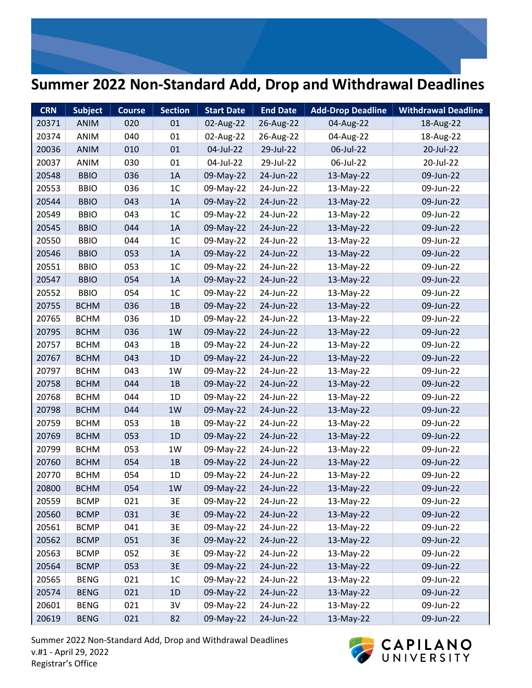## **Summer 2022 Non-Standard Add, Drop and Withdrawal Deadlines**

| <b>CRN</b> | <b>Subject</b> | <b>Course</b> | <b>Section</b> | <b>Start Date</b> | <b>End Date</b> | <b>Add-Drop Deadline</b> | <b>Withdrawal Deadline</b> |
|------------|----------------|---------------|----------------|-------------------|-----------------|--------------------------|----------------------------|
| 20371      | ANIM           | 020           | 01             | 02-Aug-22         | 26-Aug-22       | 04-Aug-22                | 18-Aug-22                  |
| 20374      | ANIM           | 040           | 01             | 02-Aug-22         | 26-Aug-22       | 04-Aug-22                | 18-Aug-22                  |
| 20036      | ANIM           | 010           | 01             | 04-Jul-22         | 29-Jul-22       | 06-Jul-22                | 20-Jul-22                  |
| 20037      | ANIM           | 030           | 01             | 04-Jul-22         | 29-Jul-22       | 06-Jul-22                | 20-Jul-22                  |
| 20548      | <b>BBIO</b>    | 036           | 1A             | 09-May-22         | 24-Jun-22       | 13-May-22                | 09-Jun-22                  |
| 20553      | <b>BBIO</b>    | 036           | 1 <sub>C</sub> | 09-May-22         | 24-Jun-22       | 13-May-22                | 09-Jun-22                  |
| 20544      | <b>BBIO</b>    | 043           | 1A             | 09-May-22         | 24-Jun-22       | 13-May-22                | 09-Jun-22                  |
| 20549      | <b>BBIO</b>    | 043           | 1 <sup>C</sup> | 09-May-22         | 24-Jun-22       | 13-May-22                | 09-Jun-22                  |
| 20545      | <b>BBIO</b>    | 044           | 1A             | 09-May-22         | 24-Jun-22       | 13-May-22                | 09-Jun-22                  |
| 20550      | <b>BBIO</b>    | 044           | 1 <sub>C</sub> | 09-May-22         | 24-Jun-22       | 13-May-22                | 09-Jun-22                  |
| 20546      | <b>BBIO</b>    | 053           | 1A             | 09-May-22         | 24-Jun-22       | 13-May-22                | 09-Jun-22                  |
| 20551      | <b>BBIO</b>    | 053           | 1 <sup>C</sup> | 09-May-22         | 24-Jun-22       | 13-May-22                | 09-Jun-22                  |
| 20547      | <b>BBIO</b>    | 054           | 1A             | 09-May-22         | 24-Jun-22       | 13-May-22                | 09-Jun-22                  |
| 20552      | <b>BBIO</b>    | 054           | 1 <sub>C</sub> | 09-May-22         | 24-Jun-22       | 13-May-22                | 09-Jun-22                  |
| 20755      | <b>BCHM</b>    | 036           | 1B             | 09-May-22         | 24-Jun-22       | 13-May-22                | 09-Jun-22                  |
| 20765      | <b>BCHM</b>    | 036           | 1D             | 09-May-22         | 24-Jun-22       | 13-May-22                | 09-Jun-22                  |
| 20795      | <b>BCHM</b>    | 036           | 1W             | 09-May-22         | 24-Jun-22       | 13-May-22                | 09-Jun-22                  |
| 20757      | <b>BCHM</b>    | 043           | 1B             | 09-May-22         | 24-Jun-22       | 13-May-22                | 09-Jun-22                  |
| 20767      | <b>BCHM</b>    | 043           | 1D             | 09-May-22         | 24-Jun-22       | 13-May-22                | 09-Jun-22                  |
| 20797      | <b>BCHM</b>    | 043           | 1W             | 09-May-22         | 24-Jun-22       | 13-May-22                | 09-Jun-22                  |
| 20758      | <b>BCHM</b>    | 044           | 1B             | 09-May-22         | 24-Jun-22       | 13-May-22                | 09-Jun-22                  |
| 20768      | <b>BCHM</b>    | 044           | 1D             | 09-May-22         | 24-Jun-22       | 13-May-22                | 09-Jun-22                  |
| 20798      | <b>BCHM</b>    | 044           | 1W             | 09-May-22         | 24-Jun-22       | 13-May-22                | 09-Jun-22                  |
| 20759      | <b>BCHM</b>    | 053           | 1B             | 09-May-22         | 24-Jun-22       | 13-May-22                | 09-Jun-22                  |
| 20769      | <b>BCHM</b>    | 053           | 1D             | 09-May-22         | 24-Jun-22       | 13-May-22                | 09-Jun-22                  |
| 20799      | <b>BCHM</b>    | 053           | 1W             | 09-May-22         | 24-Jun-22       | 13-May-22                | 09-Jun-22                  |
| 20760      | <b>BCHM</b>    | 054           | 1B             | 09-May-22         | 24-Jun-22       | 13-May-22                | 09-Jun-22                  |
| 20770      | <b>BCHM</b>    | 054           | 1D             | 09-May-22         | 24-Jun-22       | 13-May-22                | 09-Jun-22                  |
| 20800      | <b>BCHM</b>    | 054           | 1W             | 09-May-22         | 24-Jun-22       | 13-May-22                | 09-Jun-22                  |
| 20559      | <b>BCMP</b>    | 021           | 3E             | 09-May-22         | 24-Jun-22       | 13-May-22                | 09-Jun-22                  |
| 20560      | <b>BCMP</b>    | 031           | 3E             | 09-May-22         | 24-Jun-22       | 13-May-22                | 09-Jun-22                  |
| 20561      | <b>BCMP</b>    | 041           | 3E             | 09-May-22         | 24-Jun-22       | 13-May-22                | 09-Jun-22                  |
| 20562      | <b>BCMP</b>    | 051           | 3E             | 09-May-22         | 24-Jun-22       | 13-May-22                | 09-Jun-22                  |
| 20563      | <b>BCMP</b>    | 052           | 3E             | 09-May-22         | 24-Jun-22       | 13-May-22                | 09-Jun-22                  |
| 20564      | <b>BCMP</b>    | 053           | 3E             | 09-May-22         | 24-Jun-22       | 13-May-22                | 09-Jun-22                  |
| 20565      | <b>BENG</b>    | 021           | 1 <sup>C</sup> | 09-May-22         | 24-Jun-22       | 13-May-22                | 09-Jun-22                  |
| 20574      | <b>BENG</b>    | 021           | 1D             | 09-May-22         | 24-Jun-22       | 13-May-22                | 09-Jun-22                  |
| 20601      | <b>BENG</b>    | 021           | 3V             | 09-May-22         | 24-Jun-22       | 13-May-22                | 09-Jun-22                  |
| 20619      | <b>BENG</b>    | 021           | 82             | 09-May-22         | 24-Jun-22       | 13-May-22                | 09-Jun-22                  |

Summer 2022 Non-Standard Add, Drop and Withdrawal Deadlines v.#1 - April 29, 2022 Registrar's Office

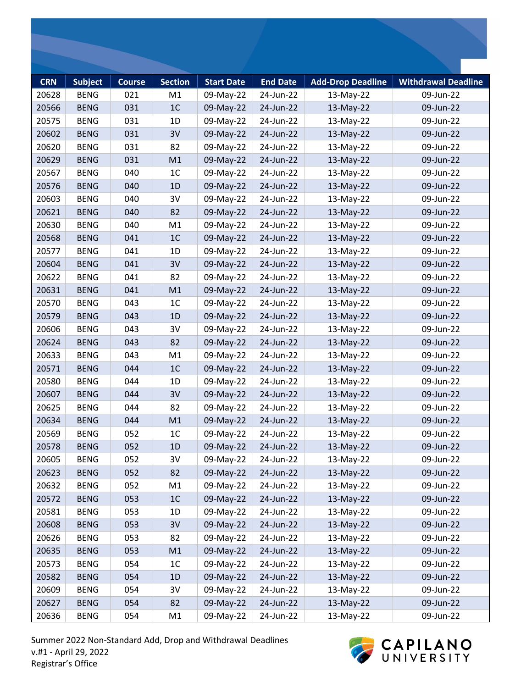| <b>CRN</b> | <b>Subject</b> | <b>Course</b> | <b>Section</b> | <b>Start Date</b> | <b>End Date</b> | <b>Add-Drop Deadline</b> | <b>Withdrawal Deadline</b> |
|------------|----------------|---------------|----------------|-------------------|-----------------|--------------------------|----------------------------|
| 20628      | <b>BENG</b>    | 021           | M1             | 09-May-22         | 24-Jun-22       | 13-May-22                | 09-Jun-22                  |
| 20566      | <b>BENG</b>    | 031           | 1 <sup>C</sup> | 09-May-22         | 24-Jun-22       | 13-May-22                | 09-Jun-22                  |
| 20575      | <b>BENG</b>    | 031           | 1D             | 09-May-22         | 24-Jun-22       | 13-May-22                | 09-Jun-22                  |
| 20602      | <b>BENG</b>    | 031           | 3V             | 09-May-22         | 24-Jun-22       | 13-May-22                | 09-Jun-22                  |
| 20620      | <b>BENG</b>    | 031           | 82             | 09-May-22         | 24-Jun-22       | 13-May-22                | 09-Jun-22                  |
| 20629      | <b>BENG</b>    | 031           | M1             | 09-May-22         | 24-Jun-22       | 13-May-22                | 09-Jun-22                  |
| 20567      | <b>BENG</b>    | 040           | 1 <sup>C</sup> | 09-May-22         | 24-Jun-22       | 13-May-22                | 09-Jun-22                  |
| 20576      | <b>BENG</b>    | 040           | 1D             | 09-May-22         | 24-Jun-22       | 13-May-22                | 09-Jun-22                  |
| 20603      | <b>BENG</b>    | 040           | 3V             | 09-May-22         | 24-Jun-22       | 13-May-22                | 09-Jun-22                  |
| 20621      | <b>BENG</b>    | 040           | 82             | 09-May-22         | 24-Jun-22       | 13-May-22                | 09-Jun-22                  |
| 20630      | <b>BENG</b>    | 040           | M1             | 09-May-22         | 24-Jun-22       | 13-May-22                | 09-Jun-22                  |
| 20568      | <b>BENG</b>    | 041           | 1 <sup>C</sup> | 09-May-22         | 24-Jun-22       | 13-May-22                | 09-Jun-22                  |
| 20577      | <b>BENG</b>    | 041           | 1D             | 09-May-22         | 24-Jun-22       | 13-May-22                | 09-Jun-22                  |
| 20604      | <b>BENG</b>    | 041           | 3V             | 09-May-22         | 24-Jun-22       | 13-May-22                | 09-Jun-22                  |
| 20622      | <b>BENG</b>    | 041           | 82             | 09-May-22         | 24-Jun-22       | 13-May-22                | 09-Jun-22                  |
| 20631      | <b>BENG</b>    | 041           | M1             | 09-May-22         | 24-Jun-22       | 13-May-22                | 09-Jun-22                  |
| 20570      | <b>BENG</b>    | 043           | 1 <sup>C</sup> | 09-May-22         | 24-Jun-22       | 13-May-22                | 09-Jun-22                  |
| 20579      | <b>BENG</b>    | 043           | 1D             | 09-May-22         | 24-Jun-22       | 13-May-22                | 09-Jun-22                  |
| 20606      | <b>BENG</b>    | 043           | 3V             | 09-May-22         | 24-Jun-22       | 13-May-22                | 09-Jun-22                  |
| 20624      | <b>BENG</b>    | 043           | 82             | 09-May-22         | 24-Jun-22       | 13-May-22                | 09-Jun-22                  |
| 20633      | <b>BENG</b>    | 043           | M1             | 09-May-22         | 24-Jun-22       | 13-May-22                | 09-Jun-22                  |
| 20571      | <b>BENG</b>    | 044           | 1 <sup>C</sup> | 09-May-22         | 24-Jun-22       | 13-May-22                | 09-Jun-22                  |
| 20580      | <b>BENG</b>    | 044           | 1D             | 09-May-22         | 24-Jun-22       | 13-May-22                | 09-Jun-22                  |
| 20607      | <b>BENG</b>    | 044           | 3V             | 09-May-22         | 24-Jun-22       | 13-May-22                | 09-Jun-22                  |
| 20625      | <b>BENG</b>    | 044           | 82             | 09-May-22         | 24-Jun-22       | 13-May-22                | 09-Jun-22                  |
| 20634      | <b>BENG</b>    | 044           | M1             | 09-May-22         | 24-Jun-22       | 13-May-22                | 09-Jun-22                  |
| 20569      | <b>BENG</b>    | 052           | 1 <sup>C</sup> | 09-May-22         | 24-Jun-22       | 13-May-22                | 09-Jun-22                  |
| 20578      | <b>BENG</b>    | 052           | 1D             | 09-May-22         | 24-Jun-22       | 13-May-22                | 09-Jun-22                  |
| 20605      | <b>BENG</b>    | 052           | 3V             | 09-May-22         | 24-Jun-22       | 13-May-22                | 09-Jun-22                  |
| 20623      | <b>BENG</b>    | 052           | 82             | 09-May-22         | 24-Jun-22       | 13-May-22                | 09-Jun-22                  |
| 20632      | <b>BENG</b>    | 052           | M1             | 09-May-22         | 24-Jun-22       | 13-May-22                | 09-Jun-22                  |
| 20572      | <b>BENG</b>    | 053           | 1 <sup>C</sup> | 09-May-22         | 24-Jun-22       | 13-May-22                | 09-Jun-22                  |
| 20581      | <b>BENG</b>    | 053           | 1D             | 09-May-22         | 24-Jun-22       | 13-May-22                | 09-Jun-22                  |
| 20608      | <b>BENG</b>    | 053           | 3V             | 09-May-22         | 24-Jun-22       | 13-May-22                | 09-Jun-22                  |
| 20626      | <b>BENG</b>    | 053           | 82             | 09-May-22         | 24-Jun-22       | 13-May-22                | 09-Jun-22                  |
| 20635      | <b>BENG</b>    | 053           | M1             | 09-May-22         | 24-Jun-22       | 13-May-22                | 09-Jun-22                  |
| 20573      | <b>BENG</b>    | 054           | 1 <sup>C</sup> | 09-May-22         | 24-Jun-22       | 13-May-22                | 09-Jun-22                  |
| 20582      | <b>BENG</b>    | 054           | 1D             | 09-May-22         | 24-Jun-22       | 13-May-22                | 09-Jun-22                  |
| 20609      | <b>BENG</b>    | 054           | 3V             | 09-May-22         | 24-Jun-22       | 13-May-22                | 09-Jun-22                  |
| 20627      | <b>BENG</b>    | 054           | 82             | 09-May-22         | 24-Jun-22       | 13-May-22                | 09-Jun-22                  |
| 20636      | <b>BENG</b>    | 054           | M1             | 09-May-22         | 24-Jun-22       | 13-May-22                | 09-Jun-22                  |

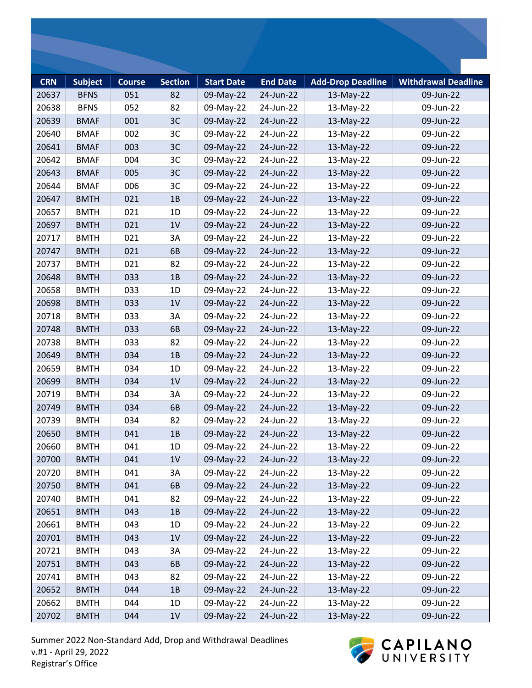| <b>CRN</b><br>20637 | <b>Subject</b><br><b>BFNS</b> | <b>Course</b><br>051 | <b>Section</b><br>82 | <b>Start Date</b><br>09-May-22 | <b>End Date</b><br>24-Jun-22 | <b>Add-Drop Deadline</b><br>13-May-22 | <b>Withdrawal Deadline</b><br>09-Jun-22 |
|---------------------|-------------------------------|----------------------|----------------------|--------------------------------|------------------------------|---------------------------------------|-----------------------------------------|
| 20638               | <b>BFNS</b>                   | 052                  | 82                   | 09-May-22                      | 24-Jun-22                    | 13-May-22                             | 09-Jun-22                               |
| 20639               | <b>BMAF</b>                   | 001                  | 3C                   | 09-May-22                      | 24-Jun-22                    | 13-May-22                             | 09-Jun-22                               |
| 20640               | <b>BMAF</b>                   | 002                  | 3C                   | 09-May-22                      | 24-Jun-22                    | 13-May-22                             | 09-Jun-22                               |
| 20641               | <b>BMAF</b>                   | 003                  | 3C                   | 09-May-22                      | 24-Jun-22                    | 13-May-22                             | 09-Jun-22                               |
|                     |                               |                      | 3C                   |                                |                              |                                       |                                         |
| 20642               | <b>BMAF</b><br><b>BMAF</b>    | 004                  |                      | 09-May-22                      | 24-Jun-22                    | 13-May-22                             | 09-Jun-22                               |
| 20643               |                               | 005                  | 3C                   | 09-May-22                      | 24-Jun-22                    | 13-May-22                             | 09-Jun-22                               |
| 20644               | <b>BMAF</b>                   | 006                  | 3C                   | 09-May-22                      | 24-Jun-22                    | 13-May-22                             | 09-Jun-22                               |
| 20647               | <b>BMTH</b>                   | 021                  | 1B                   | 09-May-22                      | 24-Jun-22                    | 13-May-22                             | 09-Jun-22                               |
| 20657               | <b>BMTH</b>                   | 021                  | 1D                   | 09-May-22                      | 24-Jun-22                    | 13-May-22                             | 09-Jun-22                               |
| 20697               | <b>BMTH</b>                   | 021                  | 1V                   | 09-May-22                      | 24-Jun-22                    | 13-May-22                             | 09-Jun-22                               |
| 20717               | <b>BMTH</b>                   | 021                  | 3A                   | 09-May-22                      | 24-Jun-22                    | 13-May-22                             | 09-Jun-22                               |
| 20747               | <b>BMTH</b>                   | 021                  | 6B                   | 09-May-22                      | 24-Jun-22                    | 13-May-22                             | 09-Jun-22                               |
| 20737               | <b>BMTH</b>                   | 021                  | 82                   | 09-May-22                      | 24-Jun-22                    | 13-May-22                             | 09-Jun-22                               |
| 20648               | <b>BMTH</b>                   | 033                  | 1B                   | 09-May-22                      | 24-Jun-22                    | 13-May-22                             | 09-Jun-22                               |
| 20658               | <b>BMTH</b>                   | 033                  | 1D                   | 09-May-22                      | 24-Jun-22                    | 13-May-22                             | 09-Jun-22                               |
| 20698               | <b>BMTH</b>                   | 033                  | 1V                   | 09-May-22                      | 24-Jun-22                    | 13-May-22                             | 09-Jun-22                               |
| 20718               | <b>BMTH</b>                   | 033                  | 3A                   | 09-May-22                      | 24-Jun-22                    | 13-May-22                             | 09-Jun-22                               |
| 20748               | <b>BMTH</b>                   | 033                  | 6B                   | 09-May-22                      | 24-Jun-22                    | 13-May-22                             | 09-Jun-22                               |
| 20738               | <b>BMTH</b>                   | 033                  | 82                   | 09-May-22                      | 24-Jun-22                    | 13-May-22                             | 09-Jun-22                               |
| 20649               | <b>BMTH</b>                   | 034                  | 1B                   | 09-May-22                      | 24-Jun-22                    | 13-May-22                             | 09-Jun-22                               |
| 20659               | <b>BMTH</b>                   | 034                  | 1D                   | 09-May-22                      | 24-Jun-22                    | 13-May-22                             | 09-Jun-22                               |
| 20699               | <b>BMTH</b>                   | 034                  | 1V                   | 09-May-22                      | 24-Jun-22                    | 13-May-22                             | 09-Jun-22                               |
| 20719               | <b>BMTH</b>                   | 034                  | 3A                   | 09-May-22                      | 24-Jun-22                    | 13-May-22                             | 09-Jun-22                               |
| 20749               | <b>BMTH</b>                   | 034                  | 6B                   | 09-May-22                      | 24-Jun-22                    | 13-May-22                             | 09-Jun-22                               |
| 20739               | <b>BMTH</b>                   | 034                  | 82                   | 09-May-22                      | 24-Jun-22                    | 13-May-22                             | 09-Jun-22                               |
| 20650               | <b>BMTH</b>                   | 041                  | 1B                   | 09-May-22                      | 24-Jun-22                    | 13-May-22                             | 09-Jun-22                               |
| 20660               | <b>BMTH</b>                   | 041                  | 1D                   | 09-May-22                      | 24-Jun-22                    | 13-May-22                             | 09-Jun-22                               |
| 20700               | <b>BMTH</b>                   | 041                  | 1 <sub>V</sub>       | 09-May-22                      | 24-Jun-22                    | 13-May-22                             | 09-Jun-22                               |
| 20720               | <b>BMTH</b>                   | 041                  | 3A                   | 09-May-22                      | 24-Jun-22                    | 13-May-22                             | 09-Jun-22                               |
| 20750               | <b>BMTH</b>                   | 041                  | 6B                   | 09-May-22                      | 24-Jun-22                    | 13-May-22                             | 09-Jun-22                               |
| 20740               | <b>BMTH</b>                   | 041                  | 82                   | 09-May-22                      | 24-Jun-22                    | 13-May-22                             | 09-Jun-22                               |
| 20651               | <b>BMTH</b>                   | 043                  | 1B                   | 09-May-22                      | 24-Jun-22                    | 13-May-22                             | 09-Jun-22                               |
| 20661               | <b>BMTH</b>                   | 043                  | 1D                   | 09-May-22                      | 24-Jun-22                    | 13-May-22                             | 09-Jun-22                               |
| 20701               | <b>BMTH</b>                   | 043                  | 1 <sub>V</sub>       | 09-May-22                      | 24-Jun-22                    | 13-May-22                             | 09-Jun-22                               |
| 20721               | <b>BMTH</b>                   | 043                  | 3A                   | 09-May-22                      | 24-Jun-22                    | 13-May-22                             | 09-Jun-22                               |
| 20751               | <b>BMTH</b>                   | 043                  | 6B                   | 09-May-22                      | 24-Jun-22                    | 13-May-22                             | 09-Jun-22                               |
| 20741               | <b>BMTH</b>                   | 043                  | 82                   | 09-May-22                      | 24-Jun-22                    | 13-May-22                             | 09-Jun-22                               |
| 20652               | <b>BMTH</b>                   | 044                  | 1B                   | 09-May-22                      | 24-Jun-22                    | 13-May-22                             | 09-Jun-22                               |
| 20662               | <b>BMTH</b>                   | 044                  | 1D                   | 09-May-22                      | 24-Jun-22                    | 13-May-22                             | 09-Jun-22                               |
|                     |                               |                      |                      |                                |                              |                                       |                                         |

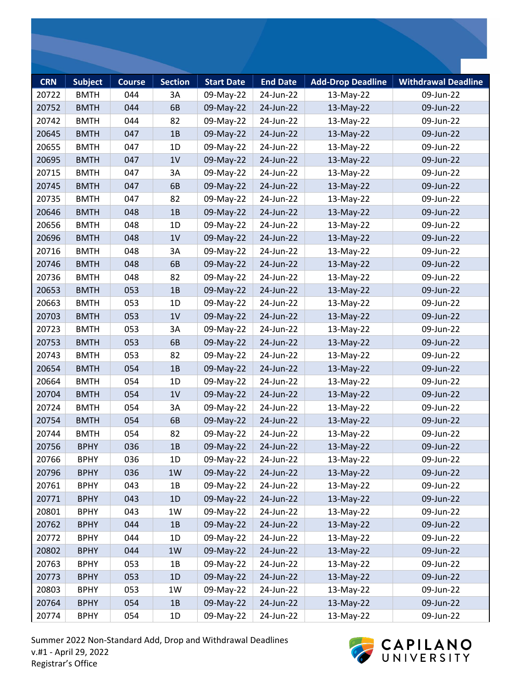| <b>CRN</b> | <b>Subject</b> | <b>Course</b> | <b>Section</b> | <b>Start Date</b> | <b>End Date</b> | <b>Add-Drop Deadline</b> | <b>Withdrawal Deadline</b> |
|------------|----------------|---------------|----------------|-------------------|-----------------|--------------------------|----------------------------|
| 20722      | <b>BMTH</b>    | 044           | 3A             | 09-May-22         | 24-Jun-22       | 13-May-22                | 09-Jun-22                  |
| 20752      | <b>BMTH</b>    | 044           | 6B             | 09-May-22         | 24-Jun-22       | 13-May-22                | 09-Jun-22                  |
| 20742      | <b>BMTH</b>    | 044           | 82             | 09-May-22         | 24-Jun-22       | 13-May-22                | 09-Jun-22                  |
| 20645      | <b>BMTH</b>    | 047           | 1B             | 09-May-22         | 24-Jun-22       | 13-May-22                | 09-Jun-22                  |
| 20655      | <b>BMTH</b>    | 047           | 1D             | 09-May-22         | 24-Jun-22       | 13-May-22                | 09-Jun-22                  |
| 20695      | <b>BMTH</b>    | 047           | 1V             | 09-May-22         | 24-Jun-22       | 13-May-22                | 09-Jun-22                  |
| 20715      | <b>BMTH</b>    | 047           | 3A             | 09-May-22         | 24-Jun-22       | 13-May-22                | 09-Jun-22                  |
| 20745      | <b>BMTH</b>    | 047           | 6B             | 09-May-22         | 24-Jun-22       | 13-May-22                | 09-Jun-22                  |
| 20735      | <b>BMTH</b>    | 047           | 82             | 09-May-22         | 24-Jun-22       | 13-May-22                | 09-Jun-22                  |
| 20646      | <b>BMTH</b>    | 048           | 1B             | 09-May-22         | 24-Jun-22       | 13-May-22                | 09-Jun-22                  |
| 20656      | <b>BMTH</b>    | 048           | 1D             | 09-May-22         | 24-Jun-22       | 13-May-22                | 09-Jun-22                  |
| 20696      | <b>BMTH</b>    | 048           | 1V             | 09-May-22         | 24-Jun-22       | 13-May-22                | 09-Jun-22                  |
| 20716      | <b>BMTH</b>    | 048           | 3A             | 09-May-22         | 24-Jun-22       | 13-May-22                | 09-Jun-22                  |
| 20746      | <b>BMTH</b>    | 048           | 6B             | 09-May-22         | 24-Jun-22       | 13-May-22                | 09-Jun-22                  |
| 20736      | <b>BMTH</b>    | 048           | 82             | 09-May-22         | 24-Jun-22       | 13-May-22                | 09-Jun-22                  |
| 20653      | <b>BMTH</b>    | 053           | 1B             | 09-May-22         | 24-Jun-22       | 13-May-22                | 09-Jun-22                  |
| 20663      | <b>BMTH</b>    | 053           | 1D             | 09-May-22         | 24-Jun-22       | 13-May-22                | 09-Jun-22                  |
| 20703      | <b>BMTH</b>    | 053           | 1V             | 09-May-22         | 24-Jun-22       | 13-May-22                | 09-Jun-22                  |
| 20723      | <b>BMTH</b>    | 053           | 3A             | 09-May-22         | 24-Jun-22       | 13-May-22                | 09-Jun-22                  |
| 20753      | <b>BMTH</b>    | 053           | 6B             | 09-May-22         | 24-Jun-22       | 13-May-22                | 09-Jun-22                  |
| 20743      | <b>BMTH</b>    | 053           | 82             | 09-May-22         | 24-Jun-22       | 13-May-22                | 09-Jun-22                  |
| 20654      | <b>BMTH</b>    | 054           | 1B             | 09-May-22         | 24-Jun-22       | 13-May-22                | 09-Jun-22                  |
| 20664      | <b>BMTH</b>    | 054           | 1D             | 09-May-22         | 24-Jun-22       | 13-May-22                | 09-Jun-22                  |
| 20704      | <b>BMTH</b>    | 054           | 1V             | 09-May-22         | 24-Jun-22       | 13-May-22                | 09-Jun-22                  |
| 20724      | <b>BMTH</b>    | 054           | 3A             | 09-May-22         | 24-Jun-22       | 13-May-22                | 09-Jun-22                  |
| 20754      | <b>BMTH</b>    | 054           | 6B             | 09-May-22         | 24-Jun-22       | 13-May-22                | 09-Jun-22                  |
| 20744      | <b>BMTH</b>    | 054           | 82             | 09-May-22         | 24-Jun-22       | 13-May-22                | 09-Jun-22                  |
| 20756      | <b>BPHY</b>    | 036           | 1B             | 09-May-22         | 24-Jun-22       | 13-May-22                | 09-Jun-22                  |
| 20766      | <b>BPHY</b>    | 036           | 1D             | 09-May-22         | 24-Jun-22       | 13-May-22                | 09-Jun-22                  |
| 20796      | <b>BPHY</b>    | 036           | 1W             | 09-May-22         | 24-Jun-22       | 13-May-22                | 09-Jun-22                  |
| 20761      | <b>BPHY</b>    | 043           | 1B             | 09-May-22         | 24-Jun-22       | 13-May-22                | 09-Jun-22                  |
| 20771      | <b>BPHY</b>    | 043           | 1D             | 09-May-22         | 24-Jun-22       | 13-May-22                | 09-Jun-22                  |
| 20801      | <b>BPHY</b>    | 043           | 1W             | 09-May-22         | 24-Jun-22       | 13-May-22                | 09-Jun-22                  |
| 20762      | <b>BPHY</b>    | 044           | 1B             | 09-May-22         | 24-Jun-22       | 13-May-22                | 09-Jun-22                  |
| 20772      | <b>BPHY</b>    | 044           | 1D             | 09-May-22         | 24-Jun-22       | 13-May-22                | 09-Jun-22                  |
| 20802      | <b>BPHY</b>    | 044           | 1W             | 09-May-22         | 24-Jun-22       | 13-May-22                | 09-Jun-22                  |
| 20763      | <b>BPHY</b>    | 053           | 1B             | 09-May-22         | 24-Jun-22       | 13-May-22                | 09-Jun-22                  |
| 20773      | <b>BPHY</b>    | 053           | 1D             | 09-May-22         | 24-Jun-22       | 13-May-22                | 09-Jun-22                  |
| 20803      | <b>BPHY</b>    | 053           | 1W             | 09-May-22         | 24-Jun-22       | 13-May-22                | 09-Jun-22                  |
| 20764      | <b>BPHY</b>    | 054           | 1B             | 09-May-22         | 24-Jun-22       | 13-May-22                | 09-Jun-22                  |
| 20774      | <b>BPHY</b>    | 054           | 1D             | 09-May-22         | 24-Jun-22       | 13-May-22                | 09-Jun-22                  |

Summer 2022 Non-Standard Add, Drop and Withdrawal Deadlines v.#1 - April 29, 2022 Registrar's Office